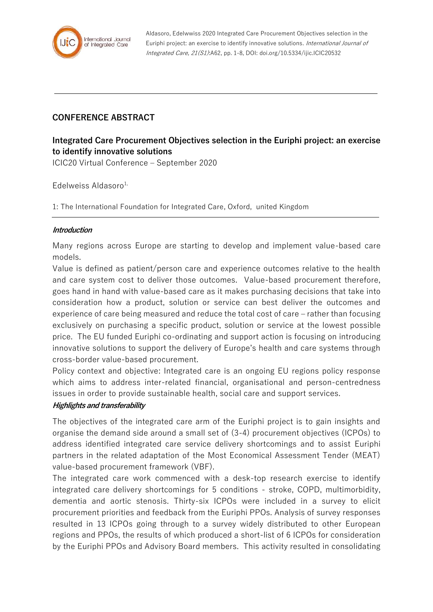

Aldasoro, Edelwwiss 2020 Integrated Care Procurement Objectives selection in the Euriphi project: an exercise to identify innovative solutions. International Journal of Integrated Care, 21(S1):A62, pp. 1-8, DOI: doi.org/10.5334/ijic.ICIC20532

## **CONFERENCE ABSTRACT**

# **Integrated Care Procurement Objectives selection in the Euriphi project: an exercise to identify innovative solutions**

ICIC20 Virtual Conference – September 2020

Edelweiss Aldasoro $1$ ,

1: The International Foundation for Integrated Care, Oxford, united Kingdom

### **Introduction**

Many regions across Europe are starting to develop and implement value-based care models.

Value is defined as patient/person care and experience outcomes relative to the health and care system cost to deliver those outcomes. Value-based procurement therefore, goes hand in hand with value-based care as it makes purchasing decisions that take into consideration how a product, solution or service can best deliver the outcomes and experience of care being measured and reduce the total cost of care – rather than focusing exclusively on purchasing a specific product, solution or service at the lowest possible price. The EU funded Euriphi co-ordinating and support action is focusing on introducing innovative solutions to support the delivery of Europe's health and care systems through cross-border value-based procurement.

Policy context and objective: Integrated care is an ongoing EU regions policy response which aims to address inter-related financial, organisational and person-centredness issues in order to provide sustainable health, social care and support services.

#### **Highlights and transferability**

The objectives of the integrated care arm of the Euriphi project is to gain insights and organise the demand side around a small set of (3-4) procurement objectives (ICPOs) to address identified integrated care service delivery shortcomings and to assist Euriphi partners in the related adaptation of the Most Economical Assessment Tender (MEAT) value-based procurement framework (VBF).

The integrated care work commenced with a desk-top research exercise to identify integrated care delivery shortcomings for 5 conditions - stroke, COPD, multimorbidity, dementia and aortic stenosis. Thirty-six ICPOs were included in a survey to elicit procurement priorities and feedback from the Euriphi PPOs. Analysis of survey responses resulted in 13 ICPOs going through to a survey widely distributed to other European regions and PPOs, the results of which produced a short-list of 6 ICPOs for consideration by the Euriphi PPOs and Advisory Board members. This activity resulted in consolidating